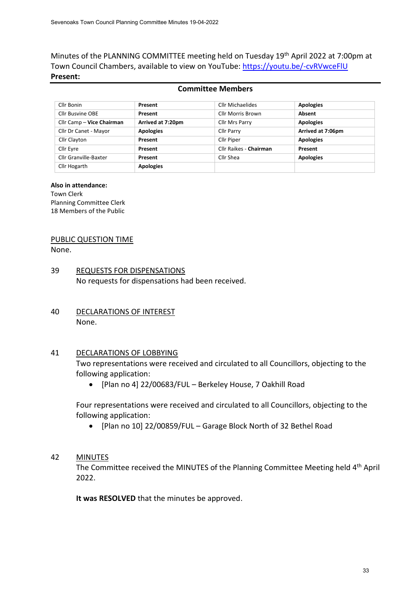Minutes of the PLANNING COMMITTEE meeting held on Tuesday 19th April 2022 at 7:00pm at Town Council Chambers, available to view on YouTube: <https://youtu.be/-cvRVwceFlU> **Present:**

### **Committee Members**

| Cllr Bonin                | Present           | Cllr Michaelides       | <b>Apologies</b>  |
|---------------------------|-------------------|------------------------|-------------------|
| <b>Cllr Busvine OBE</b>   | Present           | Cllr Morris Brown      | Absent            |
| Cllr Camp - Vice Chairman | Arrived at 7:20pm | Cllr Mrs Parry         | <b>Apologies</b>  |
| Cllr Dr Canet - Mayor     | <b>Apologies</b>  | <b>Cllr Parry</b>      | Arrived at 7:06pm |
| Cllr Clayton              | Present           | Cllr Piper             | <b>Apologies</b>  |
| Cllr Eyre                 | Present           | Cllr Raikes - Chairman | Present           |
| Cllr Granville-Baxter     | Present           | Cllr Shea              | <b>Apologies</b>  |
| Cllr Hogarth              | <b>Apologies</b>  |                        |                   |

#### **Also in attendance:**

Town Clerk Planning Committee Clerk 18 Members of the Public

#### PUBLIC QUESTION TIME None.

- 39 REQUESTS FOR DISPENSATIONS No requests for dispensations had been received.
- 40 DECLARATIONS OF INTEREST None.

### 41 DECLARATIONS OF LOBBYING

Two representations were received and circulated to all Councillors, objecting to the following application:

• [Plan no 4] 22/00683/FUL – Berkeley House, 7 Oakhill Road

Four representations were received and circulated to all Councillors, objecting to the following application:

• [Plan no 10] 22/00859/FUL – Garage Block North of 32 Bethel Road

### 42 MINUTES

The Committee received the MINUTES of the Planning Committee Meeting held 4<sup>th</sup> April 2022.

**It was RESOLVED** that the minutes be approved.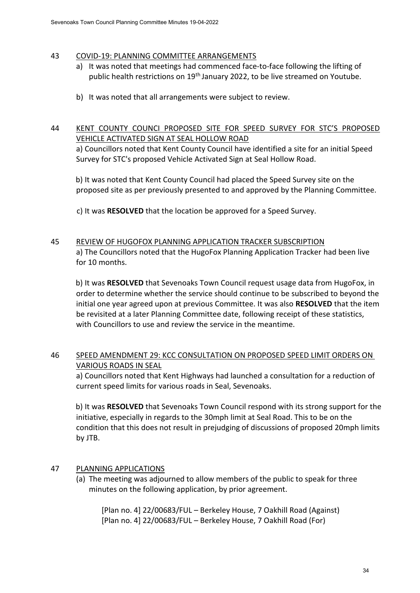### 43 COVID-19: PLANNING COMMITTEE ARRANGEMENTS

- a) It was noted that meetings had commenced face-to-face following the lifting of public health restrictions on 19<sup>th</sup> January 2022, to be live streamed on Youtube.
- b) It was noted that all arrangements were subject to review.

## 44 KENT COUNTY COUNCI PROPOSED SITE FOR SPEED SURVEY FOR STC'S PROPOSED VEHICLE ACTIVATED SIGN AT SEAL HOLLOW ROAD

a) Councillors noted that Kent County Council have identified a site for an initial Speed Survey for STC's proposed Vehicle Activated Sign at Seal Hollow Road.

b) It was noted that Kent County Council had placed the Speed Survey site on the proposed site as per previously presented to and approved by the Planning Committee.

c) It was **RESOLVED** that the location be approved for a Speed Survey.

## 45 REVIEW OF HUGOFOX PLANNING APPLICATION TRACKER SUBSCRIPTION a) The Councillors noted that the HugoFox Planning Application Tracker had been live for 10 months.

b) It was **RESOLVED** that Sevenoaks Town Council request usage data from HugoFox, in order to determine whether the service should continue to be subscribed to beyond the initial one year agreed upon at previous Committee. It was also **RESOLVED** that the item be revisited at a later Planning Committee date, following receipt of these statistics, with Councillors to use and review the service in the meantime.

## 46 SPEED AMENDMENT 29: KCC CONSULTATION ON PROPOSED SPEED LIMIT ORDERS ON VARIOUS ROADS IN SEAL

a) Councillors noted that Kent Highways had launched a consultation for a reduction of current speed limits for various roads in Seal, Sevenoaks.

b) It was **RESOLVED** that Sevenoaks Town Council respond with its strong support for the initiative, especially in regards to the 30mph limit at Seal Road. This to be on the condition that this does not result in prejudging of discussions of proposed 20mph limits by JTB.

## 47 PLANNING APPLICATIONS

(a) The meeting was adjourned to allow members of the public to speak for three minutes on the following application, by prior agreement.

[Plan no. 4] 22/00683/FUL – Berkeley House, 7 Oakhill Road (Against) [Plan no. 4] 22/00683/FUL – Berkeley House, 7 Oakhill Road (For)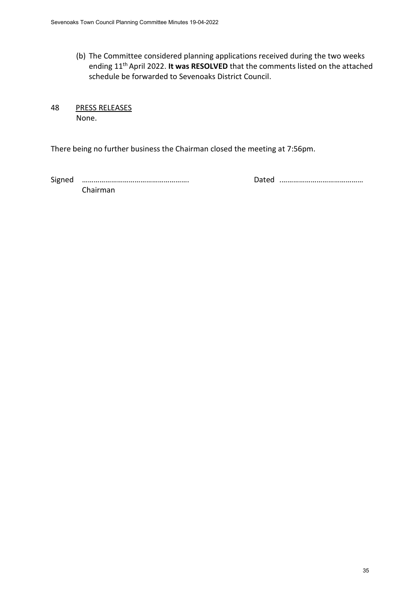- (b) The Committee considered planning applications received during the two weeks ending 11 th April 2022. **It was RESOLVED** that the comments listed on the attached schedule be forwarded to Sevenoaks District Council.
- 48 PRESS RELEASES None.

There being no further business the Chairman closed the meeting at 7:56pm.

Signed ………………………………………………. Dated .…………………………………… Chairman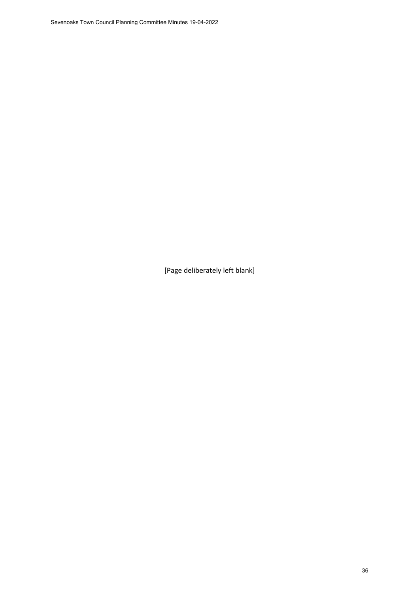[Page deliberately left blank]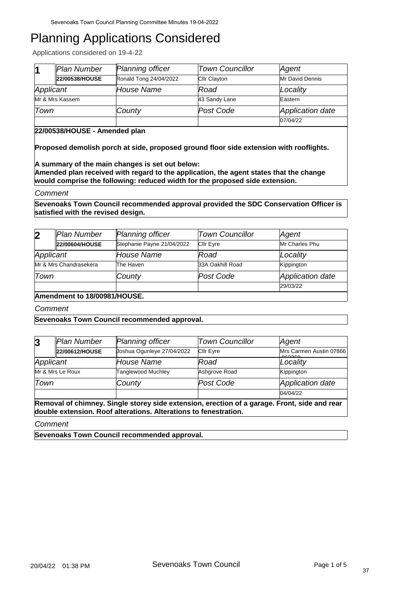Applications considered on 19-4-22

|           | Plan Number     | <b>Planning officer</b> | <b>Town Councillor</b> | Agent            |
|-----------|-----------------|-------------------------|------------------------|------------------|
|           | 22/00538/HOUSE  | Ronald Tong 24/04/2022  | Cllr Clayton           | Mr David Dennis  |
| Applicant |                 | House Name              | Road                   | Locality         |
|           | Mr & Mrs Kassem |                         | 43 Sandy Lane          | Eastern          |
| Town      |                 | County                  | Post Code              | Application date |
|           |                 |                         |                        | 07/04/22         |

### **22/00538/HOUSE - Amended plan**

**Proposed demolish porch at side, proposed ground floor side extension with rooflights.**

**A summary of the main changes is set out below:** 

**Amended plan received with regard to the application, the agent states that the change would comprise the following: reduced width for the proposed side extension.**

### *Comment*

**Sevenoaks Town Council recommended approval provided the SDC Conservation Officer is satisfied with the revised design.**

| 2                            | Plan Number            | <b>Planning officer</b>    | <b>Town Councillor</b> | Agent            |  |
|------------------------------|------------------------|----------------------------|------------------------|------------------|--|
|                              | 22/00604/HOUSE         | Stephanie Payne 21/04/2022 | <b>Cllr Eyre</b>       | Mr Charles Phu   |  |
| Applicant                    |                        | <b>House Name</b>          | Road                   | Locality         |  |
|                              | Mr & Mrs Chandrasekera | The Haven                  | 33A Oakhill Road       | Kippington       |  |
| Town                         |                        | County                     | Post Code              | Application date |  |
|                              |                        |                            |                        | 29/03/22         |  |
| Amendment to 18/00981/HOUSE. |                        |                            |                        |                  |  |

*Comment*

**Sevenoaks Town Council recommended approval.**

| $\overline{3}$ | Plan Number      | Planning officer           | <b>Town Councillor</b> | Agent                             |
|----------------|------------------|----------------------------|------------------------|-----------------------------------|
|                | 22/00612/HOUSE   | Joshua Ogunleye 27/04/2022 | <b>Cllr Eyre</b>       | Mrs Carmen Austin 07866<br>000000 |
| Applicant      |                  | House Name                 | Road                   | Locality                          |
|                | Mr & Mrs Le Roux | Tanglewood Muchley         | Ashgrove Road          | Kippington                        |
| Town           |                  | County                     | Post Code              | Application date                  |
|                |                  |                            |                        | 04/04/22                          |

**Removal of chimney. Single storey side extension, erection of a garage. Front, side and rear double extension. Roof alterations. Alterations to fenestration.**

*Comment*

**Sevenoaks Town Council recommended approval.**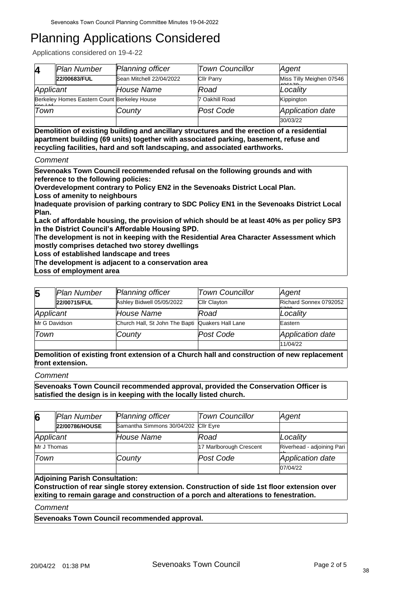Applications considered on 19-4-22

| Z                  | Plan Number                                 | <b>Planning officer</b>  | <b>Town Councillor</b> | Agent                              |
|--------------------|---------------------------------------------|--------------------------|------------------------|------------------------------------|
|                    | 22/00683/FUL                                | Sean Mitchell 22/04/2022 | <b>Cllr Parry</b>      | Miss Tilly Meighen 07546<br>100170 |
| Applicant          |                                             | House Name               | Road                   | Locality                           |
| والمتقاربات ومسائد | Berkeley Homes Eastern Count Berkeley House |                          | 7 Oakhill Road         | Kippington                         |
| Town               |                                             | County                   | Post Code              | Application date                   |
|                    |                                             |                          |                        | 30/03/22                           |

**Demolition of existing building and ancillary structures and the erection of a residential apartment building (69 units) together with associated parking, basement, refuse and recycling facilities, hard and soft landscaping, and associated earthworks.**

*Comment*

**Sevenoaks Town Council recommended refusal on the following grounds and with reference to the following policies:** 

**Overdevelopment contrary to Policy EN2 in the Sevenoaks District Local Plan. Loss of amenity to neighbours**

**Inadequate provision of parking contrary to SDC Policy EN1 in the Sevenoaks District Local Plan.**

**Lack of affordable housing, the provision of which should be at least 40% as per policy SP3 in the District Council's Affordable Housing SPD.** 

**The development is not in keeping with the Residential Area Character Assessment which mostly comprises detached two storey dwellings**

**Loss of established landscape and trees**

**The development is adjacent to a conservation area**

**Loss of employment area**

| $5\overline{5}$ | Plan Number  | Planning officer                                 | <b>Town Councillor</b> | Agent                            |
|-----------------|--------------|--------------------------------------------------|------------------------|----------------------------------|
|                 | 22/00715/FUL | Ashley Bidwell 05/05/2022                        | <b>CIIr Clayton</b>    | Richard Sonnex 0792052<br>$-700$ |
| Applicant       |              | House Name                                       | Road                   | Locality                         |
| Mr G Davidson   |              | Church Hall, St John The Bapti Quakers Hall Lane |                        | Eastern                          |
| Town            |              | County                                           | Post Code              | Application date                 |
|                 |              |                                                  |                        | 11/04/22                         |

**Demolition of existing front extension of a Church hall and construction of new replacement front extension.**

#### *Comment*

**Sevenoaks Town Council recommended approval, provided the Conservation Officer is satisfied the design is in keeping with the locally listed church.**

| 6           | Plan Number    | <b>Planning officer</b>              | <b>Town Councillor</b>  | Agent                      |
|-------------|----------------|--------------------------------------|-------------------------|----------------------------|
|             | 22/00786/HOUSE | Samantha Simmons 30/04/202 Cllr Eyre |                         |                            |
| Applicant   |                | House Name                           | Road                    | Locality                   |
| Mr J Thomas |                |                                      | 17 Marlborough Crescent | Riverhead - adjoining Pari |
| Town        |                | County                               | Post Code               | Application date           |
|             |                |                                      |                         | 07/04/22                   |

#### **Adjoining Parish Consultation:**

**Construction of rear single storey extension. Construction of side 1st floor extension over exiting to remain garage and construction of a porch and alterations to fenestration.**

*Comment*

**Sevenoaks Town Council recommended approval.**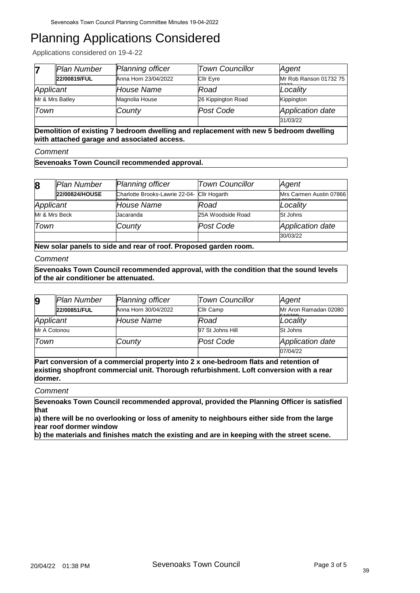Applications considered on 19-4-22

|                 | Plan Number  | <b>Planning officer</b> | <b>Town Councillor</b> | Agent                          |
|-----------------|--------------|-------------------------|------------------------|--------------------------------|
|                 | 22/00819/FUL | Anna Horn 23/04/2022    | <b>Cllr Eyre</b>       | Mr Rob Ranson 01732 75<br>0000 |
| Applicant       |              | House Name              | Road                   | Locality                       |
| Mr & Mrs Batley |              | Magnolia House          | 26 Kippington Road     | Kippington                     |
| Town            |              | County                  | Post Code              | Application date               |
|                 |              |                         |                        | 31/03/22                       |

**Demolition of existing 7 bedroom dwelling and replacement with new 5 bedroom dwelling with attached garage and associated access.**

*Comment*

**Sevenoaks Town Council recommended approval.**

| 8                                                                | Plan Number    | Planning officer                                    | <b>Town Councillor</b> | Agent                             |  |
|------------------------------------------------------------------|----------------|-----------------------------------------------------|------------------------|-----------------------------------|--|
|                                                                  | 22/00824/HOUSE | Charlotte Brooks-Lawrie 22-04- Cllr Hogarth<br>مممم |                        | Mrs Carmen Austin 07866<br>000000 |  |
| Applicant                                                        |                | House Name                                          | Road                   | Locality                          |  |
| Mr & Mrs Beck                                                    |                | Jacaranda                                           | 25A Woodside Road      | St Johns                          |  |
| Town                                                             |                | County                                              | Post Code              | Application date                  |  |
|                                                                  |                |                                                     |                        | 30/03/22                          |  |
| New solar panels to side and rear of roof. Proposed garden room. |                |                                                     |                        |                                   |  |

#### *Comment*

**Sevenoaks Town Council recommended approval, with the condition that the sound levels of the air conditioner be attenuated.**

| 9            | Plan Number  | <b>Planning officer</b> | <b>Town Councillor</b> | Agent                                          |
|--------------|--------------|-------------------------|------------------------|------------------------------------------------|
|              | 22/00851/FUL | Anna Horn 30/04/2022    | Cllr Camp              | Mr Aron Ramadan 02080<br>$F \wedge C \wedge C$ |
| Applicant    |              | House Name              | Road                   | Locality                                       |
| Mr A Cotonou |              |                         | 97 St Johns Hill       | St Johns                                       |
| Town         |              | County                  | Post Code              | Application date                               |
|              |              |                         |                        | 07/04/22                                       |

**Part conversion of a commercial property into 2 x one-bedroom flats and retention of existing shopfront commercial unit. Thorough refurbishment. Loft conversion with a rear dormer.**

*Comment*

**Sevenoaks Town Council recommended approval, provided the Planning Officer is satisfied that** 

**a) there will be no overlooking or loss of amenity to neighbours either side from the large rear roof dormer window**

**b) the materials and finishes match the existing and are in keeping with the street scene.**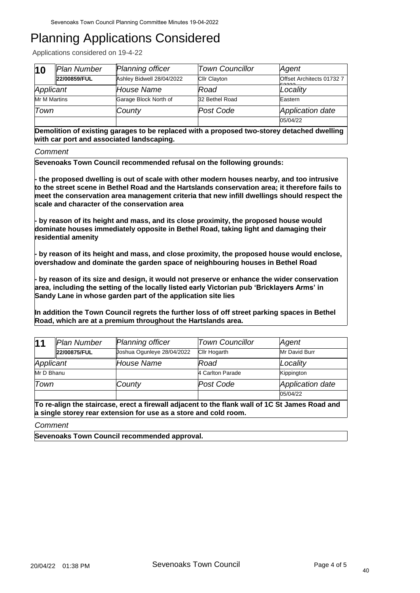Applications considered on 19-4-22

| $\vert$ 10          | Plan Number  | <b>Planning officer</b>   | <b>Town Councillor</b> | Agent                               |
|---------------------|--------------|---------------------------|------------------------|-------------------------------------|
|                     | 22/00859/FUL | Ashley Bidwell 28/04/2022 | <b>Cllr Clayton</b>    | Offset Architects 01732 7<br>roopo. |
| Applicant           |              | House Name                | Road                   | Locality                            |
| <b>Mr M Martins</b> |              | Garage Block North of     | 32 Bethel Road         | Eastern                             |
| Town                |              | County                    | Post Code              | Application date                    |
|                     |              |                           |                        | 05/04/22                            |

**Demolition of existing garages to be replaced with a proposed two-storey detached dwelling with car port and associated landscaping.**

*Comment*

**Sevenoaks Town Council recommended refusal on the following grounds:**

**- the proposed dwelling is out of scale with other modern houses nearby, and too intrusive to the street scene in Bethel Road and the Hartslands conservation area; it therefore fails to meet the conservation area management criteria that new infill dwellings should respect the scale and character of the conservation area**

**- by reason of its height and mass, and its close proximity, the proposed house would dominate houses immediately opposite in Bethel Road, taking light and damaging their residential amenity**

**- by reason of its height and mass, and close proximity, the proposed house would enclose, overshadow and dominate the garden space of neighbouring houses in Bethel Road**

**- by reason of its size and design, it would not preserve or enhance the wider conservation area, including the setting of the locally listed early Victorian pub 'Bricklayers Arms' in Sandy Lane in whose garden part of the application site lies**

**In addition the Town Council regrets the further loss of off street parking spaces in Bethel Road, which are at a premium throughout the Hartslands area.**

| 11         | Plan Number  | Planning officer           | <b>Town Councillor</b> | Agent            |
|------------|--------------|----------------------------|------------------------|------------------|
|            | 22/00875/FUL | Joshua Ogunleye 28/04/2022 | <b>Cllr Hogarth</b>    | Mr David Burr    |
| Applicant  |              | House Name                 | Road                   | Locality         |
| Mr D Bhanu |              |                            | 4 Carlton Parade       | Kippington       |
| Town       |              | County                     | Post Code              | Application date |
|            |              |                            |                        | 05/04/22         |

**To re-align the staircase, erect a firewall adjacent to the flank wall of 1C St James Road and a single storey rear extension for use as a store and cold room.**

*Comment*

**Sevenoaks Town Council recommended approval.**